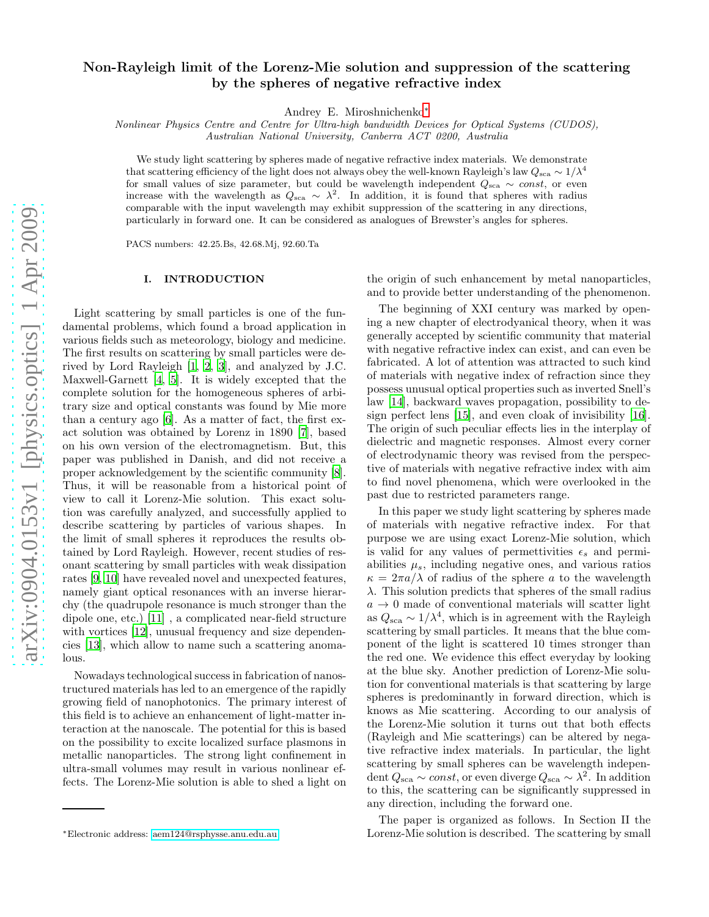# Non-Rayleigh limit of the Lorenz-Mie solution and suppression of the scattering by the spheres of negative refractive index

Andrey E. Miroshnichenko[∗](#page-0-0)

Nonlinear Physics Centre and Centre for Ultra-high bandwidth Devices for Optical Systems (CUDOS),

Australian National University, Canberra ACT 0200, Australia

We study light scattering by spheres made of negative refractive index materials. We demonstrate that scattering efficiency of the light does not always obey the well-known Rayleigh's law  $Q_{sca} \sim 1/\lambda^4$ for small values of size parameter, but could be wavelength independent  $Q_{sca} \sim const$ , or even increase with the wavelength as  $Q_{sca} \sim \lambda^2$ . In addition, it is found that spheres with radius comparable with the input wavelength may exhibit suppression of the scattering in any directions, particularly in forward one. It can be considered as analogues of Brewster's angles for spheres.

PACS numbers: 42.25.Bs, 42.68.Mj, 92.60.Ta

## I. INTRODUCTION

Light scattering by small particles is one of the fundamental problems, which found a broad application in various fields such as meteorology, biology and medicine. The first results on scattering by small particles were derived by Lord Rayleigh [\[1](#page-5-0), [2,](#page-5-1) [3\]](#page-5-2), and analyzed by J.C. Maxwell-Garnett [\[4](#page-5-3), [5](#page-5-4)]. It is widely excepted that the complete solution for the homogeneous spheres of arbitrary size and optical constants was found by Mie more than a century ago [\[6\]](#page-5-5). As a matter of fact, the first exact solution was obtained by Lorenz in 1890 [\[7\]](#page-5-6), based on his own version of the electromagnetism. But, this paper was published in Danish, and did not receive a proper acknowledgement by the scientific community [\[8\]](#page-5-7). Thus, it will be reasonable from a historical point of view to call it Lorenz-Mie solution. This exact solution was carefully analyzed, and successfully applied to describe scattering by particles of various shapes. In the limit of small spheres it reproduces the results obtained by Lord Rayleigh. However, recent studies of resonant scattering by small particles with weak dissipation rates [\[9,](#page-5-8) [10\]](#page-5-9) have revealed novel and unexpected features, namely giant optical resonances with an inverse hierarchy (the quadrupole resonance is much stronger than the dipole one, etc.) [\[11](#page-5-10)] , a complicated near-field structure with vortices [\[12\]](#page-5-11), unusual frequency and size dependencies [\[13\]](#page-5-12), which allow to name such a scattering anomalous.

Nowadays technological success in fabrication of nanostructured materials has led to an emergence of the rapidly growing field of nanophotonics. The primary interest of this field is to achieve an enhancement of light-matter interaction at the nanoscale. The potential for this is based on the possibility to excite localized surface plasmons in metallic nanoparticles. The strong light confinement in ultra-small volumes may result in various nonlinear effects. The Lorenz-Mie solution is able to shed a light on

the origin of such enhancement by metal nanoparticles, and to provide better understanding of the phenomenon.

The beginning of XXI century was marked by opening a new chapter of electrodyanical theory, when it was generally accepted by scientific community that material with negative refractive index can exist, and can even be fabricated. A lot of attention was attracted to such kind of materials with negative index of refraction since they possess unusual optical properties such as inverted Snell's law [\[14\]](#page-5-13), backward waves propagation, possibility to design perfect lens [\[15\]](#page-5-14), and even cloak of invisibility [\[16\]](#page-5-15). The origin of such peculiar effects lies in the interplay of dielectric and magnetic responses. Almost every corner of electrodynamic theory was revised from the perspective of materials with negative refractive index with aim to find novel phenomena, which were overlooked in the past due to restricted parameters range.

In this paper we study light scattering by spheres made of materials with negative refractive index. For that purpose we are using exact Lorenz-Mie solution, which is valid for any values of permettivities  $\epsilon_s$  and permiabilities  $\mu_s$ , including negative ones, and various ratios  $\kappa = 2\pi a/\lambda$  of radius of the sphere a to the wavelength  $\lambda$ . This solution predicts that spheres of the small radius  $a \rightarrow 0$  made of conventional materials will scatter light as  $Q_{\rm sca} \sim 1/\lambda^4$ , which is in agreement with the Rayleigh scattering by small particles. It means that the blue component of the light is scattered 10 times stronger than the red one. We evidence this effect everyday by looking at the blue sky. Another prediction of Lorenz-Mie solution for conventional materials is that scattering by large spheres is predominantly in forward direction, which is knows as Mie scattering. According to our analysis of the Lorenz-Mie solution it turns out that both effects (Rayleigh and Mie scatterings) can be altered by negative refractive index materials. In particular, the light scattering by small spheres can be wavelength independent  $Q_{sca} \sim const$ , or even diverge  $Q_{sca} \sim \lambda^2$ . In addition to this, the scattering can be significantly suppressed in any direction, including the forward one.

The paper is organized as follows. In Section II the Lorenz-Mie solution is described. The scattering by small

<span id="page-0-0"></span><sup>∗</sup>Electronic address: [aem124@rsphysse.anu.edu.au](mailto:aem124@rsphysse.anu.edu.au)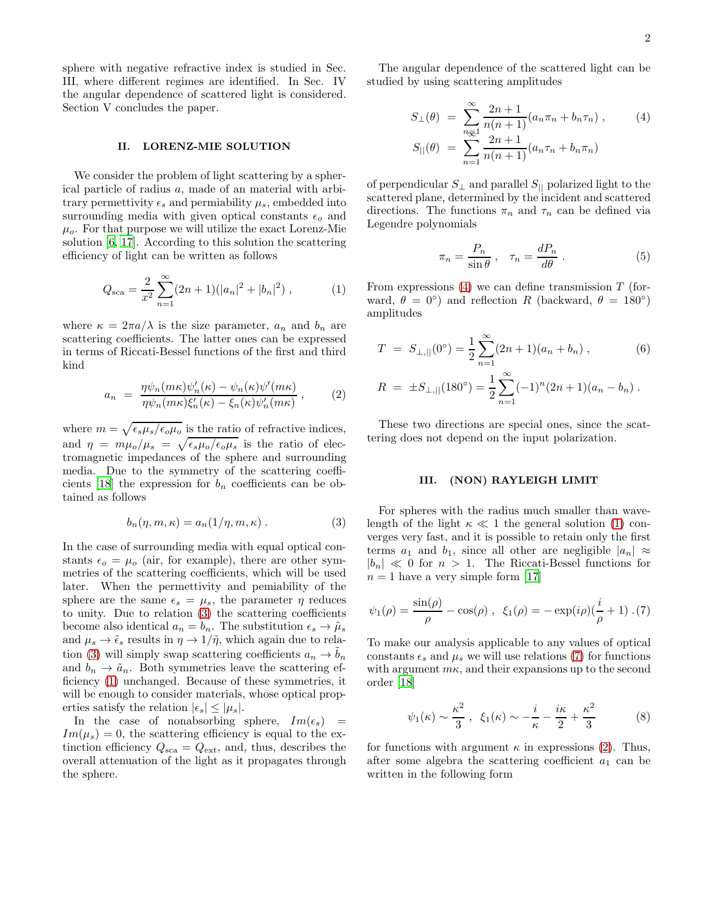sphere with negative refractive index is studied in Sec. III, where different regimes are identified. In Sec. IV the angular dependence of scattered light is considered. Section V concludes the paper.

# II. LORENZ-MIE SOLUTION

We consider the problem of light scattering by a spherical particle of radius a, made of an material with arbitrary permettivity  $\epsilon_s$  and permiability  $\mu_s$ , embedded into surrounding media with given optical constants  $\epsilon_o$  and  $\mu_o$ . For that purpose we will utilize the exact Lorenz-Mie solution [\[6,](#page-5-5) [17\]](#page-5-16). According to this solution the scattering efficiency of light can be written as follows

<span id="page-1-1"></span>
$$
Q_{\rm sca} = \frac{2}{x^2} \sum_{n=1}^{\infty} (2n+1)(|a_n|^2 + |b_n|^2) , \qquad (1)
$$

where  $\kappa = 2\pi a/\lambda$  is the size parameter,  $a_n$  and  $b_n$  are scattering coefficients. The latter ones can be expressed in terms of Riccati-Bessel functions of the first and third kind

<span id="page-1-4"></span>
$$
a_n = \frac{\eta \psi_n(m\kappa) \psi_n'(\kappa) - \psi_n(\kappa) \psi'(m\kappa)}{\eta \psi_n(m\kappa) \xi_n'(\kappa) - \xi_n(\kappa) \psi_n'(m\kappa)},
$$
(2)

where  $m = \sqrt{\epsilon_s \mu_s / \epsilon_o \mu_o}$  is the ratio of refractive indices, and  $\eta = m\mu_o/\mu_s = \sqrt{\epsilon_s\mu_o/\epsilon_o\mu_s}$  is the ratio of electromagnetic impedances of the sphere and surrounding media. Due to the symmetry of the scattering coeffi-cients [\[18\]](#page-5-17) the expression for  $b_n$  coefficients can be obtained as follows

<span id="page-1-0"></span>
$$
b_n(\eta, m, \kappa) = a_n(1/\eta, m, \kappa) . \tag{3}
$$

In the case of surrounding media with equal optical constants  $\epsilon_o = \mu_o$  (air, for example), there are other symmetries of the scattering coefficients, which will be used later. When the permettivity and pemiability of the sphere are the same  $\epsilon_s = \mu_s$ , the parameter  $\eta$  reduces to unity. Due to relation [\(3\)](#page-1-0) the scattering coefficients become also identical  $a_n = b_n$ . The substitution  $\epsilon_s \to \tilde{\mu}_s$ and  $\mu_s \to \tilde{\epsilon}_s$  results in  $\eta \to 1/\tilde{\eta}$ , which again due to rela-tion [\(3\)](#page-1-0) will simply swap scattering coefficients  $a_n \to b_n$ and  $b_n \to \tilde{a}_n$ . Both symmetries leave the scattering efficiency [\(1\)](#page-1-1) unchanged. Because of these symmetries, it will be enough to consider materials, whose optical properties satisfy the relation  $|\epsilon_s| \leq |\mu_s|$ .

In the case of nonabsorbing sphere,  $Im(\epsilon_s)$  =  $Im(\mu_s) = 0$ , the scattering efficiency is equal to the extinction efficiency  $Q_{\text{sca}} = Q_{\text{ext}}$ , and, thus, describes the overall attenuation of the light as it propagates through the sphere.

The angular dependence of the scattered light can be studied by using scattering amplitudes

<span id="page-1-2"></span>
$$
S_{\perp}(\theta) = \sum_{n=1}^{\infty} \frac{2n+1}{n(n+1)} (a_n \pi_n + b_n \tau_n),
$$
 (4)  

$$
S_{\parallel}(\theta) = \sum_{n=1}^{\infty} \frac{2n+1}{n(n+1)} (a_n \tau_n + b_n \pi_n)
$$

of perpendicular  $S_{\perp}$  and parallel  $S_{\parallel}$  polarized light to the scattered plane, determined by the incident and scattered directions. The functions  $\pi_n$  and  $\tau_n$  can be defined via Legendre polynomials

$$
\pi_n = \frac{P_n}{\sin \theta} , \quad \tau_n = \frac{dP_n}{d\theta} . \tag{5}
$$

From expressions  $(4)$  we can define transmission T (forward,  $\theta = 0^{\circ}$  and reflection R (backward,  $\theta = 180^{\circ}$ ) amplitudes

<span id="page-1-5"></span>
$$
T = S_{\perp,||}(0^{\circ}) = \frac{1}{2} \sum_{n=1}^{\infty} (2n+1)(a_n + b_n),
$$
\n
$$
R = \pm S_{\perp,||}(180^{\circ}) = \frac{1}{2} \sum_{n=1}^{\infty} (-1)^n (2n+1)(a_n - b_n).
$$
\n(6)

These two directions are special ones, since the scattering does not depend on the input polarization.

#### III. (NON) RAYLEIGH LIMIT

For spheres with the radius much smaller than wavelength of the light  $\kappa \ll 1$  the general solution [\(1\)](#page-1-1) converges very fast, and it is possible to retain only the first terms  $a_1$  and  $b_1$ , since all other are negligible  $|a_n| \approx$  $|b_n| \ll 0$  for  $n > 1$ . The Riccati-Bessel functions for  $n = 1$  have a very simple form [\[17](#page-5-16)]

<span id="page-1-3"></span>
$$
\psi_1(\rho) = \frac{\sin(\rho)}{\rho} - \cos(\rho) , \ \xi_1(\rho) = -\exp(i\rho)(\frac{i}{\rho} + 1) . (7)
$$

To make our analysis applicable to any values of optical constants  $\epsilon_s$  and  $\mu_s$  we will use relations [\(7\)](#page-1-3) for functions with argument  $m\kappa$ , and their expansions up to the second order [\[18\]](#page-5-17)

$$
\psi_1(\kappa) \sim \frac{\kappa^2}{3}, \ \xi_1(\kappa) \sim -\frac{i}{\kappa} - \frac{i\kappa}{2} + \frac{\kappa^2}{3} \tag{8}
$$

for functions with argument  $\kappa$  in expressions [\(2\)](#page-1-4). Thus, after some algebra the scattering coefficient  $a_1$  can be written in the following form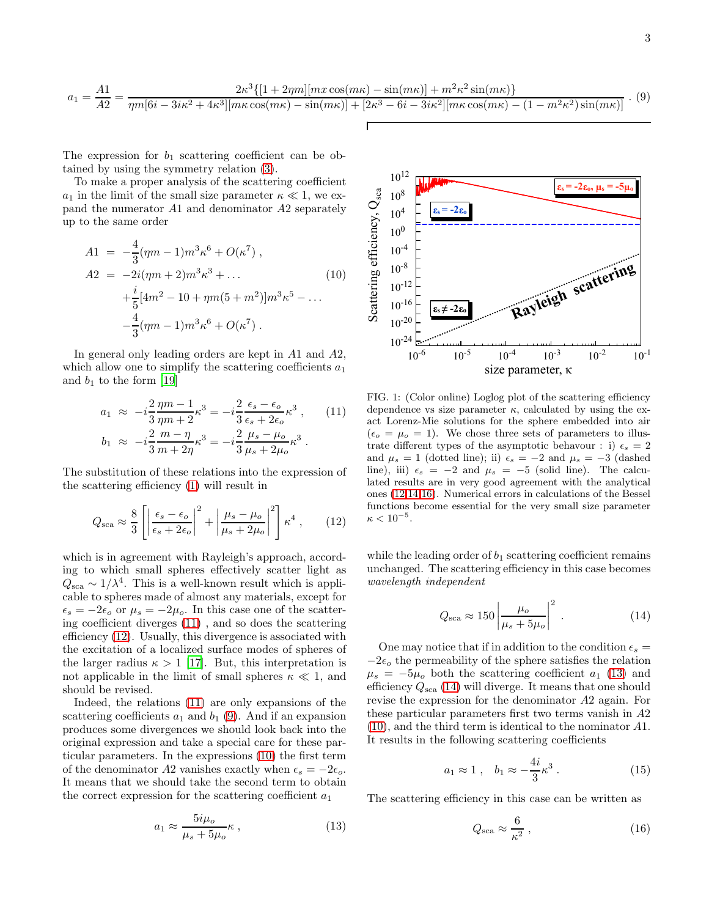<span id="page-2-2"></span>
$$
a_1 = \frac{A1}{A2} = \frac{2\kappa^3 \{[1 + 2\eta m][mx\cos(m\kappa) - \sin(m\kappa)] + m^2 \kappa^2 \sin(m\kappa)\}}{\eta m [6i - 3i\kappa^2 + 4\kappa^3][m\kappa \cos(m\kappa) - \sin(m\kappa)] + [2\kappa^3 - 6i - 3i\kappa^2][m\kappa \cos(m\kappa) - (1 - m^2 \kappa^2)\sin(m\kappa)]} \tag{9}
$$

The expression for  $b_1$  scattering coefficient can be obtained by using the symmetry relation [\(3\)](#page-1-0).

To make a proper analysis of the scattering coefficient  $a_1$  in the limit of the small size parameter  $\kappa \ll 1$ , we expand the numerator A1 and denominator A2 separately up to the same order

<span id="page-2-3"></span>
$$
A1 = -\frac{4}{3}(\eta m - 1)m^{3}\kappa^{6} + O(\kappa^{7}),
$$
  
\n
$$
A2 = -2i(\eta m + 2)m^{3}\kappa^{3} + ...
$$
  
\n
$$
+\frac{i}{5}[4m^{2} - 10 + \eta m(5 + m^{2})]m^{3}\kappa^{5} - ...
$$
  
\n
$$
-\frac{4}{3}(\eta m - 1)m^{3}\kappa^{6} + O(\kappa^{7}).
$$
\n(10)

In general only leading orders are kept in A1 and A2, which allow one to simplify the scattering coefficients  $a_1$ and  $b_1$  to the form [\[19](#page-5-18)]

<span id="page-2-0"></span>
$$
a_1 \approx -i\frac{2}{3}\frac{\eta m - 1}{\eta m + 2}\kappa^3 = -i\frac{2}{3}\frac{\epsilon_s - \epsilon_o}{\epsilon_s + 2\epsilon_o}\kappa^3 ,\qquad(11)
$$
  
\n
$$
b_1 \approx -i\frac{2}{3}\frac{m - \eta}{m + 2\eta}\kappa^3 = -i\frac{2}{3}\frac{\mu_s - \mu_o}{\mu_s + 2\mu_o}\kappa^3 .
$$

The substitution of these relations into the expression of the scattering efficiency [\(1\)](#page-1-1) will result in

<span id="page-2-1"></span>
$$
Q_{\rm sca} \approx \frac{8}{3} \left[ \left| \frac{\epsilon_s - \epsilon_o}{\epsilon_s + 2\epsilon_o} \right|^2 + \left| \frac{\mu_s - \mu_o}{\mu_s + 2\mu_o} \right|^2 \right] \kappa^4 , \qquad (12)
$$

which is in agreement with Rayleigh's approach, according to which small spheres effectively scatter light as  $Q_{\rm sca} \sim 1/\lambda^4$ . This is a well-known result which is applicable to spheres made of almost any materials, except for  $\epsilon_s = -2\epsilon_o$  or  $\mu_s = -2\mu_o$ . In this case one of the scattering coefficient diverges [\(11\)](#page-2-0) , and so does the scattering efficiency [\(12\)](#page-2-1). Usually, this divergence is associated with the excitation of a localized surface modes of spheres of the larger radius  $\kappa > 1$  [\[17\]](#page-5-16). But, this interpretation is not applicable in the limit of small spheres  $\kappa \ll 1$ , and should be revised.

Indeed, the relations [\(11\)](#page-2-0) are only expansions of the scattering coefficients  $a_1$  and  $b_1$  [\(9\)](#page-2-2). And if an expansion produces some divergences we should look back into the original expression and take a special care for these particular parameters. In the expressions [\(10\)](#page-2-3) the first term of the denominator A2 vanishes exactly when  $\epsilon_s = -2\epsilon_o$ . It means that we should take the second term to obtain the correct expression for the scattering coefficient  $a_1$ 

<span id="page-2-6"></span>
$$
a_1 \approx \frac{5i\mu_o}{\mu_s + 5\mu_o} \kappa , \qquad (13)
$$



<span id="page-2-7"></span>FIG. 1: (Color online) Loglog plot of the scattering efficiency dependence vs size parameter  $\kappa$ , calculated by using the exact Lorenz-Mie solutions for the sphere embedded into air  $(\epsilon_o = \mu_o = 1)$ . We chose three sets of parameters to illustrate different types of the asymptotic behavour : i)  $\epsilon_s = 2$ and  $\mu_s = 1$  (dotted line); ii)  $\epsilon_s = -2$  and  $\mu_s = -3$  (dashed line), iii)  $\epsilon_s = -2$  and  $\mu_s = -5$  (solid line). The calculated results are in very good agreement with the analytical ones [\(12,](#page-2-1)[14,](#page-2-4)[16\)](#page-2-5). Numerical errors in calculations of the Bessel functions become essential for the very small size parameter  $\kappa < 10^{-5}$ .

while the leading order of  $b_1$  scattering coefficient remains unchanged. The scattering efficiency in this case becomes wavelength independent

<span id="page-2-4"></span>
$$
Q_{\rm sca} \approx 150 \left| \frac{\mu_o}{\mu_s + 5\mu_o} \right|^2 \,. \tag{14}
$$

One may notice that if in addition to the condition  $\epsilon_s =$  $-2\epsilon_o$  the permeability of the sphere satisfies the relation  $\mu_s = -5\mu_o$  both the scattering coefficient  $a_1$  [\(13\)](#page-2-6) and efficiency  $Q_{\rm sca}$  [\(14\)](#page-2-4) will diverge. It means that one should revise the expression for the denominator A2 again. For these particular parameters first two terms vanish in A2 [\(10\)](#page-2-3), and the third term is identical to the nominator A1. It results in the following scattering coefficients

<span id="page-2-8"></span>
$$
a_1 \approx 1 \,, \quad b_1 \approx -\frac{4i}{3}\kappa^3 \,. \tag{15}
$$

The scattering efficiency in this case can be written as

<span id="page-2-5"></span>
$$
Q_{\rm sca} \approx \frac{6}{\kappa^2} \,,\tag{16}
$$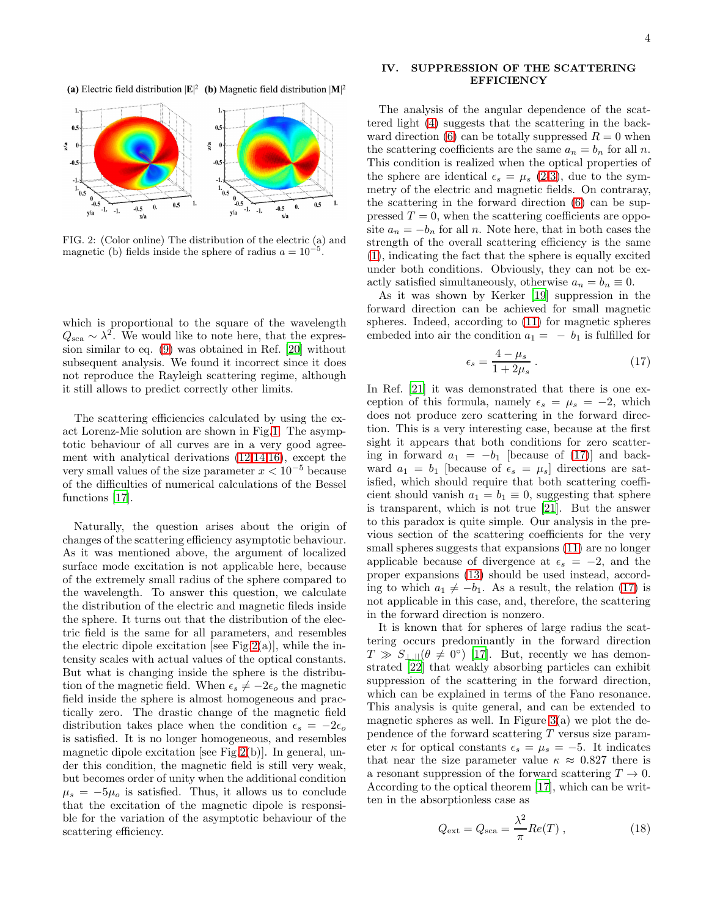(a) Electric field distribution  $|\mathbf{E}|^2$  (b) Magnetic field distribution  $|\mathbf{M}|^2$ 



<span id="page-3-0"></span>FIG. 2: (Color online) The distribution of the electric (a) and magnetic (b) fields inside the sphere of radius  $a = 10^{-5}$ .

which is proportional to the square of the wavelength  $Q_{\rm sca} \sim \lambda^2$ . We would like to note here, that the expression similar to eq. [\(9\)](#page-2-2) was obtained in Ref. [\[20](#page-5-19)] without subsequent analysis. We found it incorrect since it does not reproduce the Rayleigh scattering regime, although it still allows to predict correctly other limits.

The scattering efficiencies calculated by using the exact Lorenz-Mie solution are shown in Fig[.1.](#page-2-7) The asymptotic behaviour of all curves are in a very good agreement with analytical derivations [\(12](#page-2-1)[,14,](#page-2-4)[16\)](#page-2-5), except the very small values of the size parameter  $x < 10^{-5}$  because of the difficulties of numerical calculations of the Bessel functions [\[17\]](#page-5-16).

Naturally, the question arises about the origin of changes of the scattering efficiency asymptotic behaviour. As it was mentioned above, the argument of localized surface mode excitation is not applicable here, because of the extremely small radius of the sphere compared to the wavelength. To answer this question, we calculate the distribution of the electric and magnetic fileds inside the sphere. It turns out that the distribution of the electric field is the same for all parameters, and resembles the electric dipole excitation [see Fig. 2(a)], while the intensity scales with actual values of the optical constants. But what is changing inside the sphere is the distribution of the magnetic field. When  $\epsilon_s \neq -2\epsilon_o$  the magnetic field inside the sphere is almost homogeneous and practically zero. The drastic change of the magnetic field distribution takes place when the condition  $\epsilon_s = -2\epsilon_o$ is satisfied. It is no longer homogeneous, and resembles magnetic dipole excitation [see Fig[.2\(](#page-3-0)b)]. In general, under this condition, the magnetic field is still very weak, but becomes order of unity when the additional condition  $\mu_s = -5\mu_o$  is satisfied. Thus, it allows us to conclude that the excitation of the magnetic dipole is responsible for the variation of the asymptotic behaviour of the scattering efficiency.

## IV. SUPPRESSION OF THE SCATTERING **EFFICIENCY**

The analysis of the angular dependence of the scattered light [\(4\)](#page-1-2) suggests that the scattering in the back-ward direction [\(6\)](#page-1-5) can be totally suppressed  $R = 0$  when the scattering coefficients are the same  $a_n = b_n$  for all n. This condition is realized when the optical properties of the sphere are identical  $\epsilon_s = \mu_s$  [\(2-](#page-1-4)[3\)](#page-1-0), due to the symmetry of the electric and magnetic fields. On contraray, the scattering in the forward direction [\(6\)](#page-1-5) can be suppressed  $T = 0$ , when the scattering coefficients are opposite  $a_n = -b_n$  for all n. Note here, that in both cases the strength of the overall scattering efficiency is the same [\(1\)](#page-1-1), indicating the fact that the sphere is equally excited under both conditions. Obviously, they can not be exactly satisfied simultaneously, otherwise  $a_n = b_n \equiv 0$ .

As it was shown by Kerker [\[19\]](#page-5-18) suppression in the forward direction can be achieved for small magnetic spheres. Indeed, according to [\(11\)](#page-2-0) for magnetic spheres embeded into air the condition  $a_1 = -b_1$  is fulfilled for

<span id="page-3-1"></span>
$$
\epsilon_s = \frac{4 - \mu_s}{1 + 2\mu_s} \,. \tag{17}
$$

In Ref. [\[21\]](#page-5-20) it was demonstrated that there is one exception of this formula, namely  $\epsilon_s = \mu_s = -2$ , which does not produce zero scattering in the forward direction. This is a very interesting case, because at the first sight it appears that both conditions for zero scattering in forward  $a_1 = -b_1$  [because of [\(17\)](#page-3-1)] and backward  $a_1 = b_1$  [because of  $\epsilon_s = \mu_s$ ] directions are satisfied, which should require that both scattering coefficient should vanish  $a_1 = b_1 \equiv 0$ , suggesting that sphere is transparent, which is not true [\[21](#page-5-20)]. But the answer to this paradox is quite simple. Our analysis in the previous section of the scattering coefficients for the very small spheres suggests that expansions  $(11)$  are no longer applicable because of divergence at  $\epsilon_s = -2$ , and the proper expansions [\(13\)](#page-2-6) should be used instead, according to which  $a_1 \neq -b_1$ . As a result, the relation [\(17\)](#page-3-1) is not applicable in this case, and, therefore, the scattering in the forward direction is nonzero.

It is known that for spheres of large radius the scattering occurs predominantly in the forward direction  $T \gg S_{\perp,||}(\theta \neq 0^{\circ})$  [\[17\]](#page-5-16). But, recently we has demonstrated [\[22](#page-5-21)] that weakly absorbing particles can exhibit suppression of the scattering in the forward direction, which can be explained in terms of the Fano resonance. This analysis is quite general, and can be extended to magnetic spheres as well. In Figure  $3(a)$  we plot the dependence of the forward scattering  $T$  versus size parameter  $\kappa$  for optical constants  $\epsilon_s = \mu_s = -5$ . It indicates that near the size parameter value  $\kappa \approx 0.827$  there is a resonant suppression of the forward scattering  $T \to 0$ . According to the optical theorem [\[17\]](#page-5-16), which can be written in the absorptionless case as

$$
Q_{\text{ext}} = Q_{\text{sca}} = \frac{\lambda^2}{\pi} Re(T) , \qquad (18)
$$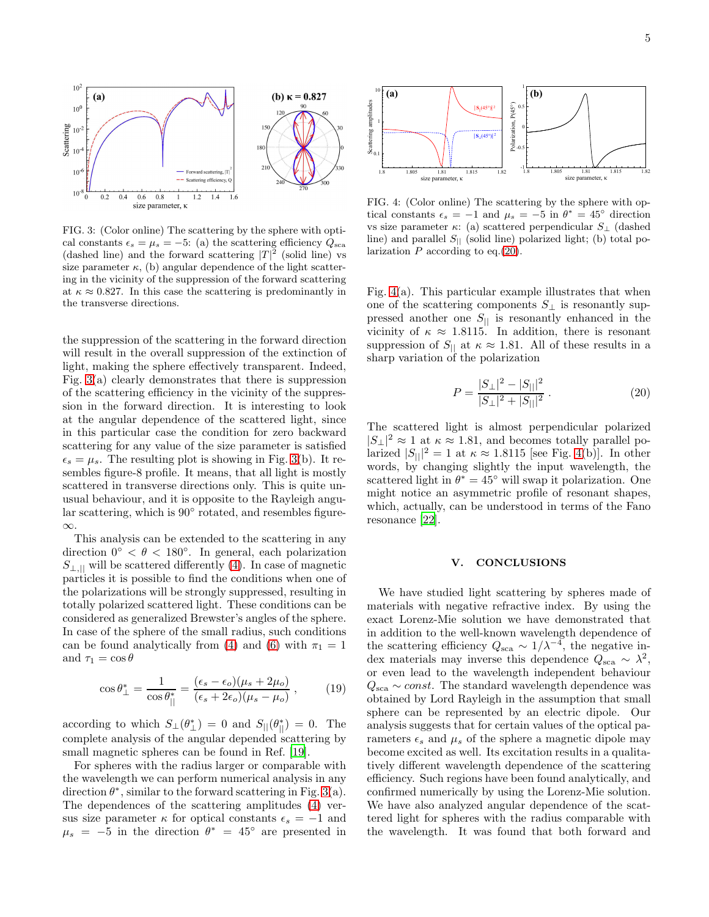

<span id="page-4-0"></span>FIG. 3: (Color online) The scattering by the sphere with optical constants  $\epsilon_s = \mu_s = -5$ : (a) the scattering efficiency  $Q_{\text{sca}}$ (dashed line) and the forward scattering  $|T|^2$  (solid line) vs size parameter  $\kappa$ , (b) angular dependence of the light scattering in the vicinity of the suppression of the forward scattering at  $\kappa \approx 0.827$ . In this case the scattering is predominantly in the transverse directions.

the suppression of the scattering in the forward direction will result in the overall suppression of the extinction of light, making the sphere effectively transparent. Indeed, Fig. [3\(](#page-4-0)a) clearly demonstrates that there is suppression of the scattering efficiency in the vicinity of the suppression in the forward direction. It is interesting to look at the angular dependence of the scattered light, since in this particular case the condition for zero backward scattering for any value of the size parameter is satisfied  $\epsilon_s = \mu_s$ . The resulting plot is showing in Fig. [3\(](#page-4-0)b). It resembles figure-8 profile. It means, that all light is mostly scattered in transverse directions only. This is quite unusual behaviour, and it is opposite to the Rayleigh angular scattering, which is 90◦ rotated, and resembles figure-  $\infty$ 

This analysis can be extended to the scattering in any direction  $0° < \theta < 180°$ . In general, each polarization  $S_{\perp,\parallel}$  will be scattered differently [\(4\)](#page-1-2). In case of magnetic particles it is possible to find the conditions when one of the polarizations will be strongly suppressed, resulting in totally polarized scattered light. These conditions can be considered as generalized Brewster's angles of the sphere. In case of the sphere of the small radius, such conditions can be found analytically from [\(4\)](#page-1-2) and [\(6\)](#page-1-5) with  $\pi_1 = 1$ and  $\tau_1 = \cos \theta$ 

$$
\cos \theta_{\perp}^{*} = \frac{1}{\cos \theta_{||}^{*}} = \frac{(\epsilon_{s} - \epsilon_{o})(\mu_{s} + 2\mu_{o})}{(\epsilon_{s} + 2\epsilon_{o})(\mu_{s} - \mu_{o})}, \qquad (19)
$$

according to which  $S_{\perp}(\theta_{\perp}^*) = 0$  and  $S_{\parallel}(\theta_{\parallel}^*) = 0$ . The complete analysis of the angular depended scattering by small magnetic spheres can be found in Ref. [\[19\]](#page-5-18).

For spheres with the radius larger or comparable with the wavelength we can perform numerical analysis in any direction  $\theta^*$ , similar to the forward scattering in Fig. [3\(](#page-4-0)a). The dependences of the scattering amplitudes [\(4\)](#page-1-2) versus size parameter  $\kappa$  for optical constants  $\epsilon_s = -1$  and  $\mu_s = -5$  in the direction  $\theta^* = 45^\circ$  are presented in



<span id="page-4-2"></span>FIG. 4: (Color online) The scattering by the sphere with optical constants  $\epsilon_s = -1$  and  $\mu_s = -5$  in  $\theta^* = 45^\circ$  direction vs size parameter  $\kappa$ : (a) scattered perpendicular  $S_{\perp}$  (dashed line) and parallel  $S_{\parallel}$  (solid line) polarized light; (b) total polarization  $P$  according to eq. [\(20\)](#page-4-1).

Fig.  $4(a)$ . This particular example illustrates that when one of the scattering components  $S_{\perp}$  is resonantly suppressed another one  $S_{\parallel}$  is resonantly enhanced in the vicinity of  $\kappa \approx 1.8115$ . In addition, there is resonant suppression of  $S_{\parallel}$  at  $\kappa \approx 1.81$ . All of these results in a sharp variation of the polarization

<span id="page-4-1"></span>
$$
P = \frac{|S_{\perp}|^2 - |S_{||}|^2}{|S_{\perp}|^2 + |S_{||}|^2}.
$$
 (20)

The scattered light is almost perpendicular polarized  $|S_\perp|^2 \approx 1$  at  $\kappa \approx 1.81$ , and becomes totally parallel polarized  $|S_{||}|^2 = 1$  at  $\kappa \approx 1.8115$  [see Fig. [4\(](#page-4-2)b)]. In other words, by changing slightly the input wavelength, the scattered light in  $\theta^* = 45^\circ$  will swap it polarization. One might notice an asymmetric profile of resonant shapes, which, actually, can be understood in terms of the Fano resonance [\[22](#page-5-21)].

### V. CONCLUSIONS

We have studied light scattering by spheres made of materials with negative refractive index. By using the exact Lorenz-Mie solution we have demonstrated that in addition to the well-known wavelength dependence of the scattering efficiency  $Q_{\text{sca}} \sim 1/\lambda^{-4}$ , the negative index materials may inverse this dependence  $Q_{\rm sca} \sim \lambda^2$ , or even lead to the wavelength independent behaviour  $Q_{sca} \sim const.$  The standard wavelength dependence was obtained by Lord Rayleigh in the assumption that small sphere can be represented by an electric dipole. Our analysis suggests that for certain values of the optical parameters  $\epsilon_s$  and  $\mu_s$  of the sphere a magnetic dipole may become excited as well. Its excitation results in a qualitatively different wavelength dependence of the scattering efficiency. Such regions have been found analytically, and confirmed numerically by using the Lorenz-Mie solution. We have also analyzed angular dependence of the scattered light for spheres with the radius comparable with the wavelength. It was found that both forward and